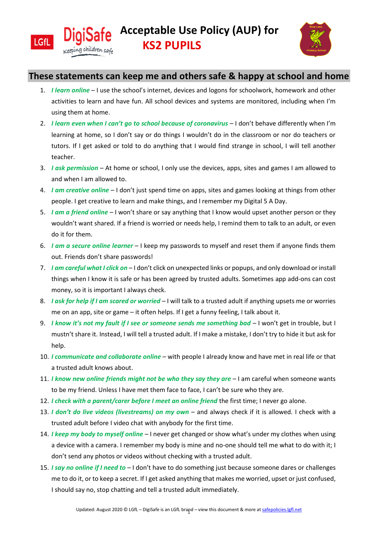



## **These statements can keep me and others safe & happy at school and home**

- 1. *I learn online* I use the school's internet, devices and logons for schoolwork, homework and other activities to learn and have fun. All school devices and systems are monitored, including when I'm using them at home.
- 2. *I learn even when I can't go to school because of coronavirus* I don't behave differently when I'm learning at home, so I don't say or do things I wouldn't do in the classroom or nor do teachers or tutors. If I get asked or told to do anything that I would find strange in school, I will tell another teacher.
- 3. *I ask permission*  At home or school, I only use the devices, apps, sites and games I am allowed to and when I am allowed to.
- 4. *I am creative online* I don't just spend time on apps, sites and games looking at things from other people. I get creative to learn and make things, and I remember my Digital 5 A Day.
- 5. *I am a friend online*  I won't share or say anything that I know would upset another person or they wouldn't want shared. If a friend is worried or needs help, I remind them to talk to an adult, or even do it for them.
- 6. *I am a secure online learner* I keep my passwords to myself and reset them if anyone finds them out. Friends don't share passwords!
- 7. *I am careful what I click on*  I don't click on unexpected links or popups, and only download or install things when I know it is safe or has been agreed by trusted adults. Sometimes app add-ons can cost money, so it is important I always check.
- 8. *I ask for help if I am scared or worried*  I will talk to a trusted adult if anything upsets me or worries me on an app, site or game – it often helps. If I get a funny feeling, I talk about it.
- 9. *I know it's not my fault if I see or someone sends me something bad* I won't get in trouble, but I mustn't share it. Instead, I will tell a trusted adult. If I make a mistake, I don't try to hide it but ask for help.
- 10. *I communicate and collaborate online* with people I already know and have met in real life or that a trusted adult knows about.
- 11. *I know new online friends might not be who they say they are* I am careful when someone wants to be my friend. Unless I have met them face to face, I can't be sure who they are.
- 12. *I check with a parent/carer before I meet an online friend* the first time; I never go alone.
- 13. *I don't do live videos (livestreams) on my own*  and always check if it is allowed. I check with a trusted adult before I video chat with anybody for the first time.
- 14. *I keep my body to myself online*  I never get changed or show what's under my clothes when using a device with a camera. I remember my body is mine and no-one should tell me what to do with it; I don't send any photos or videos without checking with a trusted adult.
- 15. *I say no online if I need to*  I don't have to do something just because someone dares or challenges me to do it, or to keep a secret. If I get asked anything that makes me worried, upset or just confused, I should say no, stop chatting and tell a trusted adult immediately.